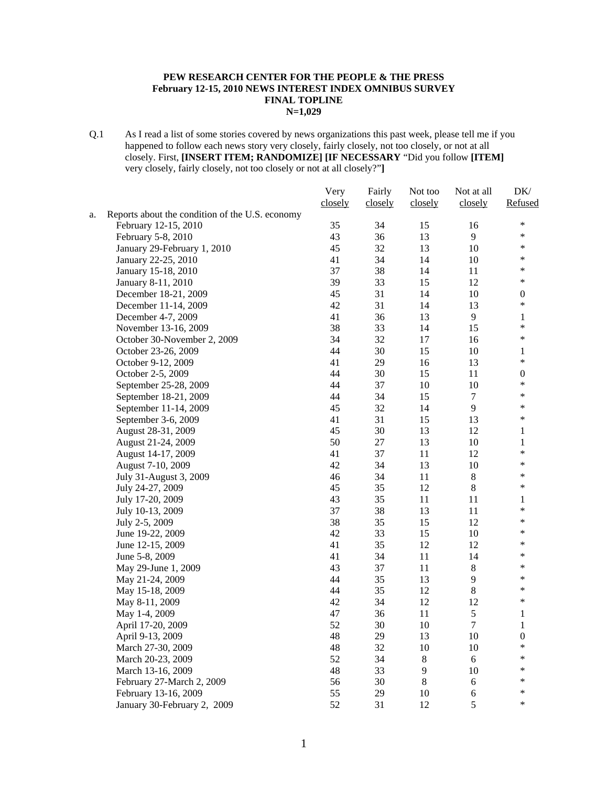#### **PEW RESEARCH CENTER FOR THE PEOPLE & THE PRESS February 12-15, 2010 NEWS INTEREST INDEX OMNIBUS SURVEY FINAL TOPLINE N=1,029**

Q.1 As I read a list of some stories covered by news organizations this past week, please tell me if you happened to follow each news story very closely, fairly closely, not too closely, or not at all closely. First, **[INSERT ITEM; RANDOMIZE] [IF NECESSARY** "Did you follow **[ITEM]**  very closely, fairly closely, not too closely or not at all closely?"**]** 

|    |                                                 | Very    | Fairly  | Not too        | Not at all     | DK/              |
|----|-------------------------------------------------|---------|---------|----------------|----------------|------------------|
|    |                                                 | closely | closely | closely        | closely        | Refused          |
| a. | Reports about the condition of the U.S. economy |         |         |                |                |                  |
|    | February 12-15, 2010                            | 35      | 34      | 15             | 16             | ∗                |
|    | February 5-8, 2010                              | 43      | 36      | 13             | 9              | $\ast$           |
|    | January 29-February 1, 2010                     | 45      | 32      | 13             | 10             | $\ast$           |
|    | January 22-25, 2010                             | 41      | 34      | 14             | 10             | $\ast$           |
|    | January 15-18, 2010                             | 37      | 38      | 14             | 11             | $\ast$           |
|    | January 8-11, 2010                              | 39      | 33      | 15             | 12             | $\ast$           |
|    | December 18-21, 2009                            | 45      | 31      | 14             | 10             | $\boldsymbol{0}$ |
|    | December 11-14, 2009                            | 42      | 31      | 14             | 13             | $\ast$           |
|    | December 4-7, 2009                              | 41      | 36      | 13             | $\overline{9}$ | $\mathbf{1}$     |
|    | November 13-16, 2009                            | 38      | 33      | 14             | 15             | $\ast$           |
|    | October 30-November 2, 2009                     | 34      | 32      | 17             | 16             | $\ast$           |
|    | October 23-26, 2009                             | 44      | 30      | 15             | 10             | 1                |
|    | October 9-12, 2009                              | 41      | 29      | 16             | 13             | $\ast$           |
|    | October 2-5, 2009                               | 44      | 30      | 15             | 11             | $\boldsymbol{0}$ |
|    | September 25-28, 2009                           | 44      | 37      | $10\,$         | 10             | $\ast$           |
|    | September 18-21, 2009                           | 44      | 34      | 15             | $\tau$         | $\ast$           |
|    | September 11-14, 2009                           | 45      | 32      | 14             | 9              | *                |
|    | September 3-6, 2009                             | 41      | 31      | 15             | 13             | $\ast$           |
|    | August 28-31, 2009                              | 45      | 30      | 13             | 12             | 1                |
|    | August 21-24, 2009                              | 50      | $27\,$  | 13             | 10             | $\,1$            |
|    | August 14-17, 2009                              | 41      | 37      | 11             | 12             | $\ast$           |
|    | August 7-10, 2009                               | 42      | 34      | 13             | 10             | $\ast$           |
|    | July 31-August 3, 2009                          | 46      | 34      | 11             | $\,8\,$        | $\ast$           |
|    | July 24-27, 2009                                | 45      | 35      | 12             | $8\,$          | $\ast$           |
|    | July 17-20, 2009                                | 43      | 35      | 11             | 11             | 1                |
|    | July 10-13, 2009                                | 37      | 38      | 13             | 11             | *                |
|    | July 2-5, 2009                                  | 38      | 35      | 15             | 12             | $\ast$           |
|    | June 19-22, 2009                                | 42      | 33      | 15             | 10             | $\ast$           |
|    | June 12-15, 2009                                | 41      | 35      | 12             | 12             | $\ast$           |
|    | June 5-8, 2009                                  | 41      | 34      | 11             | 14             | $\ast$           |
|    | May 29-June 1, 2009                             | 43      | 37      | 11             | $\,8\,$        | $\ast$           |
|    | May 21-24, 2009                                 | 44      | 35      | 13             | $\overline{9}$ | $\ast$           |
|    | May 15-18, 2009                                 | 44      | 35      | 12             | $8\,$          | $\ast$           |
|    | May 8-11, 2009                                  | 42      | 34      | 12             | 12             | $\ast$           |
|    | May 1-4, 2009                                   | 47      | 36      | 11             | 5              | $\mathbf{1}$     |
|    | April 17-20, 2009                               | 52      | 30      | 10             | $\overline{7}$ | $\mathbf{1}$     |
|    | April 9-13, 2009                                | 48      | 29      | 13             | 10             | $\boldsymbol{0}$ |
|    | March 27-30, 2009                               | 48      | 32      | 10             | 10             | $\ast$           |
|    | March 20-23, 2009                               | 52      | 34      | $\,8\,$        | 6              | ∗                |
|    | March 13-16, 2009                               | 48      | 33      | $\overline{9}$ | 10             | ∗                |
|    | February 27-March 2, 2009                       | 56      | 30      | $\,8\,$        | $\sqrt{6}$     | *                |
|    | February 13-16, 2009                            | 55      | 29      | 10             | $\sqrt{6}$     | $\ast$           |
|    | January 30-February 2, 2009                     | 52      | 31      | 12             | 5              | ∗                |
|    |                                                 |         |         |                |                |                  |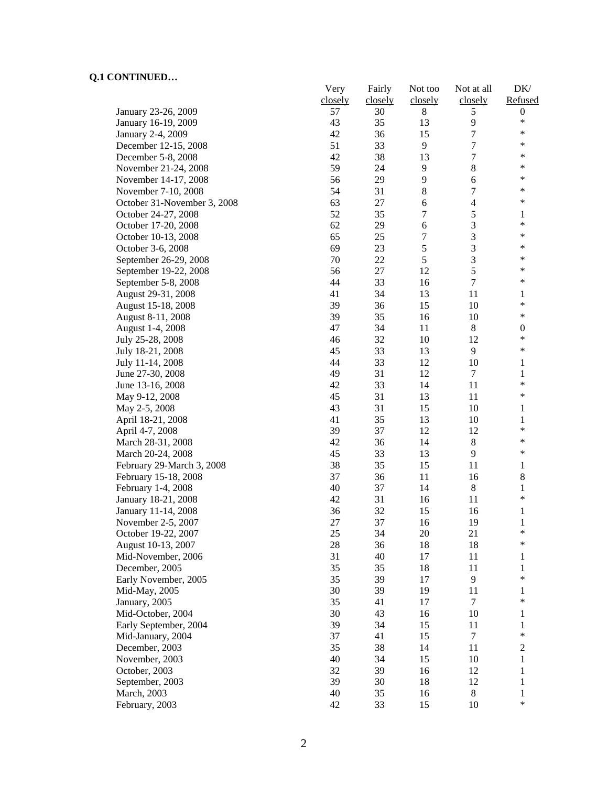|                                            | Very<br>closely | Fairly<br>closely | Not too<br>closely | Not at all<br>closely | DK/<br>Refused   |
|--------------------------------------------|-----------------|-------------------|--------------------|-----------------------|------------------|
| January 23-26, 2009                        | 57              | 30                | 8                  | 5                     | $\boldsymbol{0}$ |
| January 16-19, 2009                        | 43              | 35                | 13                 | 9                     | $\ast$           |
| January 2-4, 2009                          | 42              | 36                | 15                 | $\boldsymbol{7}$      | $\ast$           |
| December 12-15, 2008                       | 51              | 33                | 9                  | $\boldsymbol{7}$      | ∗                |
| December 5-8, 2008                         | 42              | 38                | 13                 | $\boldsymbol{7}$      | ∗                |
| November 21-24, 2008                       | 59              | 24                | 9                  | $\,8$                 | ∗                |
| November 14-17, 2008                       | 56              | 29                | 9                  | 6                     | *                |
| November 7-10, 2008                        | 54              | 31                | $8\,$              | 7                     | ∗                |
|                                            | 63              | 27                | 6                  | 4                     | $\ast$           |
| October 31-November 3, 2008                | 52              | 35                | 7                  | $\sqrt{5}$            | 1                |
| October 24-27, 2008<br>October 17-20, 2008 | 62              | 29                | 6                  | $\mathfrak{Z}$        | ∗                |
|                                            |                 |                   |                    | 3                     | $\ast$           |
| October 10-13, 2008                        | 65<br>69        | 25                | 7<br>5             | $\mathfrak{Z}$        | $\ast$           |
| October 3-6, 2008                          |                 | 23                | 5                  | $\mathfrak{Z}$        | $\ast$           |
| September 26-29, 2008                      | 70              | 22                |                    |                       | $\ast$           |
| September 19-22, 2008                      | 56              | 27                | 12                 | 5                     | ∗                |
| September 5-8, 2008                        | 44              | 33                | 16                 | $\boldsymbol{7}$      |                  |
| August 29-31, 2008                         | 41              | 34                | 13                 | 11                    | 1                |
| August 15-18, 2008                         | 39              | 36                | 15                 | 10                    | $\ast$           |
| August 8-11, 2008                          | 39              | 35                | 16                 | 10                    | $\ast$           |
| August 1-4, 2008                           | 47              | 34                | 11                 | $\,8\,$               | $\boldsymbol{0}$ |
| July 25-28, 2008                           | 46              | 32                | 10                 | 12                    | $\ast$           |
| July 18-21, 2008                           | 45              | 33                | 13                 | 9                     | $\ast$           |
| July 11-14, 2008                           | 44              | 33                | 12                 | 10                    | 1                |
| June 27-30, 2008                           | 49              | 31                | 12                 | 7                     | 1                |
| June 13-16, 2008                           | 42              | 33                | 14                 | 11                    | *                |
| May 9-12, 2008                             | 45              | 31                | 13                 | 11                    | $\ast$           |
| May 2-5, 2008                              | 43              | 31                | 15                 | 10                    | 1                |
| April 18-21, 2008                          | 41              | 35                | 13                 | 10                    | $\mathbf{1}$     |
| April 4-7, 2008                            | 39              | 37                | 12                 | 12                    | $\ast$           |
| March 28-31, 2008                          | 42              | 36                | 14                 | $8\,$                 | ∗                |
| March 20-24, 2008                          | 45              | 33                | 13                 | 9                     | ∗                |
| February 29-March 3, 2008                  | 38              | 35                | 15                 | 11                    | 1                |
| February 15-18, 2008                       | 37              | 36                | 11                 | 16                    | 8                |
| February 1-4, 2008                         | 40              | 37                | 14                 | $\,8\,$               | 1                |
| January 18-21, 2008                        | 42              | 31                | 16                 | 11                    | *                |
| January 11-14, 2008                        | 36              | 32                | 15                 | 16                    | 1                |
| November 2-5, 2007                         | 27              | 37                | 16                 | 19                    | 1                |
| October 19-22, 2007                        | 25              | 34                | 20                 | 21                    | $\ast$           |
| August 10-13, 2007                         | 28              | 36                | 18                 | 18                    | $\ast$           |
| Mid-November, 2006                         | 31              | 40                | 17                 | 11                    | 1                |
| December, 2005                             | 35              | 35                | 18                 | 11                    | 1                |
| Early November, 2005                       | 35              | 39                | 17                 | 9                     | *                |
| Mid-May, 2005                              | 30              | 39                | 19                 | 11                    | 1                |
| January, 2005                              | 35              | 41                | 17                 | 7                     | $\ast$           |
| Mid-October, 2004                          | 30              | 43                | 16                 | 10                    | 1                |
| Early September, 2004                      | 39              | 34                | 15                 | 11                    | 1                |
| Mid-January, 2004                          | 37              | 41                | 15                 | $\tau$                | *                |
| December, 2003                             | 35              | 38                | 14                 | 11                    | $\overline{2}$   |
| November, 2003                             | 40              | 34                | 15                 | 10                    | $\mathbf{1}$     |
| October, 2003                              | 32              | 39                | 16                 | 12                    | 1                |
| September, 2003                            | 39              | 30                | 18                 | 12                    | 1                |
| March, 2003                                | 40              | 35                | 16                 | $\,8\,$               | $\mathbf{1}$     |
| February, 2003                             | 42              | 33                | 15                 | 10                    | *                |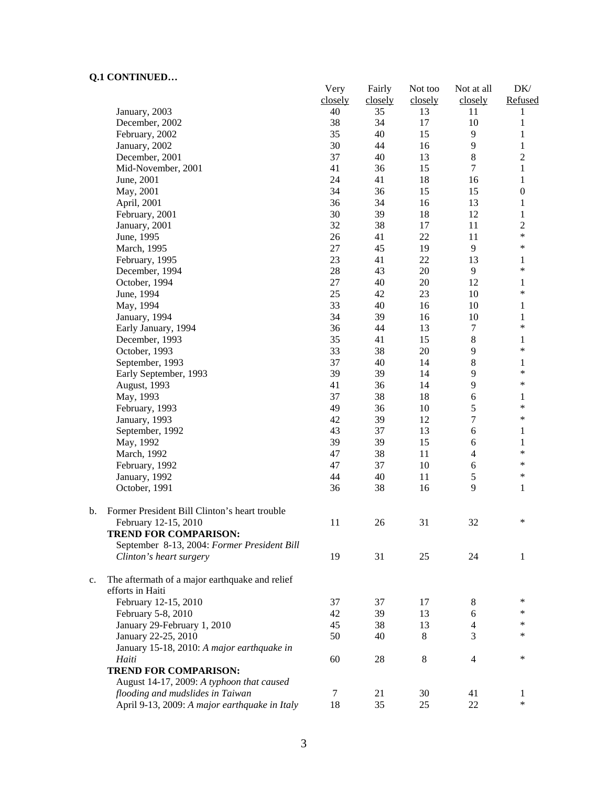$\mathbf b$ .

|    |                                                | Very<br>closely | Fairly<br>closely | Not too<br>closely | Not at all<br>closely | DK/<br>Refused   |
|----|------------------------------------------------|-----------------|-------------------|--------------------|-----------------------|------------------|
|    | January, 2003                                  | 40              | 35                | 13                 | 11                    | 1                |
|    | December, 2002                                 | 38              | 34                | 17                 | 10                    | $\mathbf{1}$     |
|    | February, 2002                                 | 35              | 40                | 15                 | 9                     | $\mathbf{1}$     |
|    | January, 2002                                  | 30              | 44                | 16                 | 9                     | $\mathbf{1}$     |
|    | December, 2001                                 | 37              | 40                | 13                 | 8                     | $\overline{2}$   |
|    | Mid-November, 2001                             | 41              | 36                | 15                 | $\overline{7}$        | $\,1$            |
|    | June, 2001                                     | 24              | 41                | 18                 | 16                    | $\mathbf{1}$     |
|    | May, 2001                                      | 34              | 36                | 15                 | 15                    | $\boldsymbol{0}$ |
|    | April, 2001                                    | 36              | 34                | 16                 | 13                    | $\mathbf{1}$     |
|    | February, 2001                                 | 30              | 39                | 18                 | 12                    | $\mathbf{1}$     |
|    | January, 2001                                  | 32              | 38                | 17                 | 11                    | $\overline{2}$   |
|    | June, 1995                                     | 26              | 41                | $22\,$             | 11                    | $\ast$           |
|    | March, 1995                                    | 27              | 45                | 19                 | 9                     | $\ast$           |
|    | February, 1995                                 | 23              | 41                | 22                 | 13                    | 1                |
|    | December, 1994                                 | 28              | 43                | 20                 | 9                     | $\ast$           |
|    | October, 1994                                  | 27              | 40                | 20                 | 12                    | 1                |
|    | June, 1994                                     | 25              | 42                | 23                 | 10                    | $\ast$           |
|    | May, 1994                                      | 33              | 40                | 16                 | 10                    | $\mathbf{1}$     |
|    | January, 1994                                  | 34              | 39                | 16                 | 10                    | $\mathbf{1}$     |
|    | Early January, 1994                            | 36              | 44                | 13                 | $\boldsymbol{7}$      | $\ast$           |
|    | December, 1993                                 | 35              | 41                | 15                 | $8\,$                 | 1                |
|    | October, 1993                                  | 33              | 38                | 20                 | 9                     | $\ast$           |
|    | September, 1993                                | 37              | 40                | 14                 | 8                     | $\mathbf{1}$     |
|    | Early September, 1993                          | 39              | 39                | 14                 | 9                     | $\ast$           |
|    | August, 1993                                   | 41              | 36                | 14                 | 9                     | $\ast$           |
|    | May, 1993                                      | 37              | 38                | 18                 | 6                     | 1                |
|    | February, 1993                                 | 49              | 36                | 10                 | 5                     | $\ast$           |
|    | January, 1993                                  | 42              | 39                | 12                 | 7                     | $\ast$           |
|    | September, 1992                                | 43              | 37                | 13                 | 6                     | 1                |
|    | May, 1992                                      | 39              | 39                | 15                 | 6                     | $\mathbf{1}$     |
|    | March, 1992                                    | 47              | 38                | 11                 | $\overline{4}$        | $\ast$           |
|    | February, 1992                                 | 47              | 37                | 10                 | 6                     | $\ast$           |
|    | January, 1992                                  | 44              | 40                | 11                 | 5                     | $\ast$           |
|    | October, 1991                                  | 36              | 38                | 16                 | 9                     | $\mathbf{1}$     |
| b. | Former President Bill Clinton's heart trouble  |                 |                   |                    |                       |                  |
|    | February 12-15, 2010                           | 11              | 26                | 31                 | 32                    | $\ast$           |
|    | <b>TREND FOR COMPARISON:</b>                   |                 |                   |                    |                       |                  |
|    | September 8-13, 2004: Former President Bill    |                 |                   |                    |                       |                  |
|    | Clinton's heart surgery                        | 19              | 31                | 25                 | 24                    | $\mathbf{1}$     |
| c. | The aftermath of a major earthquake and relief |                 |                   |                    |                       |                  |
|    | efforts in Haiti                               |                 |                   |                    |                       |                  |
|    | February 12-15, 2010                           | 37              | 37                | 17                 | 8                     | *                |
|    | February 5-8, 2010                             | 42              | 39                | 13                 | 6                     | ∗                |
|    | January 29-February 1, 2010                    | 45              | 38                | 13                 | 4                     | *                |
|    | January 22-25, 2010                            | 50              | 40                | 8                  | 3                     | *                |
|    | January 15-18, 2010: A major earthquake in     |                 |                   |                    |                       |                  |
|    | Haiti                                          | 60              | 28                | 8                  | $\overline{4}$        | $\ast$           |
|    | <b>TREND FOR COMPARISON:</b>                   |                 |                   |                    |                       |                  |
|    | August 14-17, 2009: A typhoon that caused      |                 |                   |                    |                       |                  |
|    | flooding and mudslides in Taiwan               | 7               | 21                | 30                 | 41                    | 1                |
|    | April 9-13, 2009: A major earthquake in Italy  | 18              | 35                | 25                 | 22                    | $\ast$           |
|    |                                                |                 |                   |                    |                       |                  |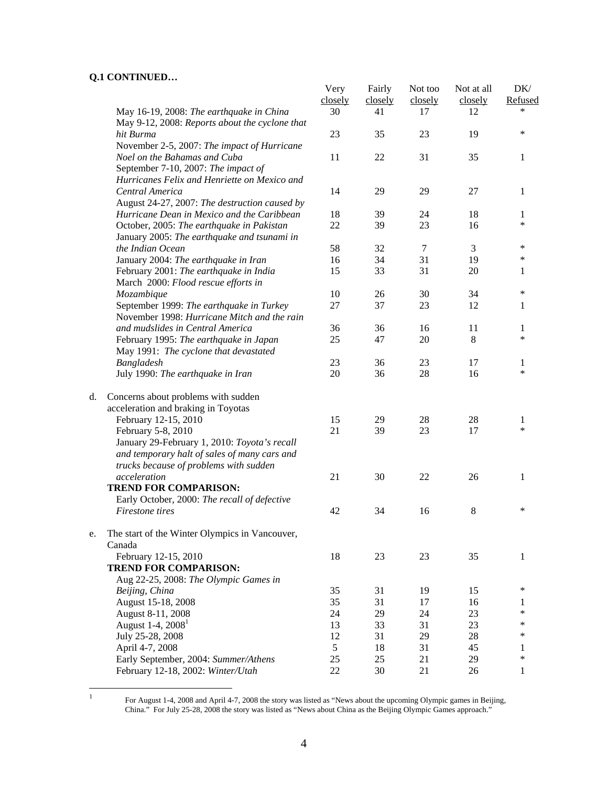|                                                | Very                                                                                                                                                                                                                                                                                                                                                                                                                                                                                                                                                                                                                                                                                                                                                                                                                                                                                                                                                                     | Fairly                                                              | Not too                                                                   | Not at all                                                                            | DK/<br>Refused                                                           |
|------------------------------------------------|--------------------------------------------------------------------------------------------------------------------------------------------------------------------------------------------------------------------------------------------------------------------------------------------------------------------------------------------------------------------------------------------------------------------------------------------------------------------------------------------------------------------------------------------------------------------------------------------------------------------------------------------------------------------------------------------------------------------------------------------------------------------------------------------------------------------------------------------------------------------------------------------------------------------------------------------------------------------------|---------------------------------------------------------------------|---------------------------------------------------------------------------|---------------------------------------------------------------------------------------|--------------------------------------------------------------------------|
| May 16-19, 2008: The earthquake in China       | 30                                                                                                                                                                                                                                                                                                                                                                                                                                                                                                                                                                                                                                                                                                                                                                                                                                                                                                                                                                       | 41                                                                  | 17                                                                        | 12                                                                                    | *                                                                        |
| hit Burma                                      | 23                                                                                                                                                                                                                                                                                                                                                                                                                                                                                                                                                                                                                                                                                                                                                                                                                                                                                                                                                                       | 35                                                                  | 23                                                                        | 19                                                                                    | $\ast$                                                                   |
|                                                |                                                                                                                                                                                                                                                                                                                                                                                                                                                                                                                                                                                                                                                                                                                                                                                                                                                                                                                                                                          |                                                                     |                                                                           |                                                                                       |                                                                          |
| Noel on the Bahamas and Cuba                   | 11                                                                                                                                                                                                                                                                                                                                                                                                                                                                                                                                                                                                                                                                                                                                                                                                                                                                                                                                                                       | 22                                                                  | 31                                                                        | 35                                                                                    | 1                                                                        |
| September 7-10, 2007: The impact of            |                                                                                                                                                                                                                                                                                                                                                                                                                                                                                                                                                                                                                                                                                                                                                                                                                                                                                                                                                                          |                                                                     |                                                                           |                                                                                       |                                                                          |
| Hurricanes Felix and Henriette on Mexico and   |                                                                                                                                                                                                                                                                                                                                                                                                                                                                                                                                                                                                                                                                                                                                                                                                                                                                                                                                                                          |                                                                     |                                                                           |                                                                                       |                                                                          |
| Central America                                | 14                                                                                                                                                                                                                                                                                                                                                                                                                                                                                                                                                                                                                                                                                                                                                                                                                                                                                                                                                                       | 29                                                                  | 29                                                                        | 27                                                                                    | 1                                                                        |
| August 24-27, 2007: The destruction caused by  |                                                                                                                                                                                                                                                                                                                                                                                                                                                                                                                                                                                                                                                                                                                                                                                                                                                                                                                                                                          |                                                                     |                                                                           |                                                                                       |                                                                          |
| Hurricane Dean in Mexico and the Caribbean     | 18                                                                                                                                                                                                                                                                                                                                                                                                                                                                                                                                                                                                                                                                                                                                                                                                                                                                                                                                                                       | 39                                                                  | 24                                                                        | 18                                                                                    | 1                                                                        |
|                                                | 22                                                                                                                                                                                                                                                                                                                                                                                                                                                                                                                                                                                                                                                                                                                                                                                                                                                                                                                                                                       | 39                                                                  | 23                                                                        | 16                                                                                    | $\ast$                                                                   |
|                                                |                                                                                                                                                                                                                                                                                                                                                                                                                                                                                                                                                                                                                                                                                                                                                                                                                                                                                                                                                                          |                                                                     |                                                                           |                                                                                       |                                                                          |
| the Indian Ocean                               | 58                                                                                                                                                                                                                                                                                                                                                                                                                                                                                                                                                                                                                                                                                                                                                                                                                                                                                                                                                                       | 32                                                                  | $\tau$                                                                    | 3                                                                                     | $\ast$                                                                   |
|                                                | 16                                                                                                                                                                                                                                                                                                                                                                                                                                                                                                                                                                                                                                                                                                                                                                                                                                                                                                                                                                       | 34                                                                  | 31                                                                        | 19                                                                                    | $\ast$                                                                   |
|                                                |                                                                                                                                                                                                                                                                                                                                                                                                                                                                                                                                                                                                                                                                                                                                                                                                                                                                                                                                                                          |                                                                     |                                                                           |                                                                                       | 1                                                                        |
|                                                |                                                                                                                                                                                                                                                                                                                                                                                                                                                                                                                                                                                                                                                                                                                                                                                                                                                                                                                                                                          |                                                                     |                                                                           |                                                                                       |                                                                          |
|                                                | 10                                                                                                                                                                                                                                                                                                                                                                                                                                                                                                                                                                                                                                                                                                                                                                                                                                                                                                                                                                       | 26                                                                  |                                                                           |                                                                                       | $\ast$                                                                   |
|                                                |                                                                                                                                                                                                                                                                                                                                                                                                                                                                                                                                                                                                                                                                                                                                                                                                                                                                                                                                                                          |                                                                     |                                                                           |                                                                                       | 1                                                                        |
| November 1998: Hurricane Mitch and the rain    |                                                                                                                                                                                                                                                                                                                                                                                                                                                                                                                                                                                                                                                                                                                                                                                                                                                                                                                                                                          |                                                                     |                                                                           |                                                                                       |                                                                          |
|                                                |                                                                                                                                                                                                                                                                                                                                                                                                                                                                                                                                                                                                                                                                                                                                                                                                                                                                                                                                                                          |                                                                     |                                                                           |                                                                                       | 1                                                                        |
|                                                |                                                                                                                                                                                                                                                                                                                                                                                                                                                                                                                                                                                                                                                                                                                                                                                                                                                                                                                                                                          |                                                                     |                                                                           |                                                                                       | $\ast$                                                                   |
|                                                |                                                                                                                                                                                                                                                                                                                                                                                                                                                                                                                                                                                                                                                                                                                                                                                                                                                                                                                                                                          |                                                                     |                                                                           |                                                                                       |                                                                          |
|                                                |                                                                                                                                                                                                                                                                                                                                                                                                                                                                                                                                                                                                                                                                                                                                                                                                                                                                                                                                                                          |                                                                     |                                                                           |                                                                                       | 1                                                                        |
| July 1990: The earthquake in Iran              | 20                                                                                                                                                                                                                                                                                                                                                                                                                                                                                                                                                                                                                                                                                                                                                                                                                                                                                                                                                                       | 36                                                                  | 28                                                                        | 16                                                                                    | $\ast$                                                                   |
| Concerns about problems with sudden            |                                                                                                                                                                                                                                                                                                                                                                                                                                                                                                                                                                                                                                                                                                                                                                                                                                                                                                                                                                          |                                                                     |                                                                           |                                                                                       |                                                                          |
| acceleration and braking in Toyotas            |                                                                                                                                                                                                                                                                                                                                                                                                                                                                                                                                                                                                                                                                                                                                                                                                                                                                                                                                                                          |                                                                     |                                                                           |                                                                                       |                                                                          |
| February 12-15, 2010                           | 15                                                                                                                                                                                                                                                                                                                                                                                                                                                                                                                                                                                                                                                                                                                                                                                                                                                                                                                                                                       | 29                                                                  | $28\,$                                                                    | $28\,$                                                                                | 1                                                                        |
|                                                | 21                                                                                                                                                                                                                                                                                                                                                                                                                                                                                                                                                                                                                                                                                                                                                                                                                                                                                                                                                                       |                                                                     |                                                                           | 17                                                                                    | $\ast$                                                                   |
|                                                |                                                                                                                                                                                                                                                                                                                                                                                                                                                                                                                                                                                                                                                                                                                                                                                                                                                                                                                                                                          |                                                                     |                                                                           |                                                                                       |                                                                          |
|                                                |                                                                                                                                                                                                                                                                                                                                                                                                                                                                                                                                                                                                                                                                                                                                                                                                                                                                                                                                                                          |                                                                     |                                                                           |                                                                                       |                                                                          |
|                                                |                                                                                                                                                                                                                                                                                                                                                                                                                                                                                                                                                                                                                                                                                                                                                                                                                                                                                                                                                                          |                                                                     |                                                                           |                                                                                       |                                                                          |
|                                                | 21                                                                                                                                                                                                                                                                                                                                                                                                                                                                                                                                                                                                                                                                                                                                                                                                                                                                                                                                                                       | 30                                                                  | 22                                                                        | 26                                                                                    | 1                                                                        |
| <b>TREND FOR COMPARISON:</b>                   |                                                                                                                                                                                                                                                                                                                                                                                                                                                                                                                                                                                                                                                                                                                                                                                                                                                                                                                                                                          |                                                                     |                                                                           |                                                                                       |                                                                          |
| Early October, 2000: The recall of defective   |                                                                                                                                                                                                                                                                                                                                                                                                                                                                                                                                                                                                                                                                                                                                                                                                                                                                                                                                                                          |                                                                     |                                                                           |                                                                                       |                                                                          |
|                                                | 42                                                                                                                                                                                                                                                                                                                                                                                                                                                                                                                                                                                                                                                                                                                                                                                                                                                                                                                                                                       | 34                                                                  |                                                                           | 8                                                                                     | $\ast$                                                                   |
| The start of the Winter Olympics in Vancouver, |                                                                                                                                                                                                                                                                                                                                                                                                                                                                                                                                                                                                                                                                                                                                                                                                                                                                                                                                                                          |                                                                     |                                                                           |                                                                                       |                                                                          |
|                                                |                                                                                                                                                                                                                                                                                                                                                                                                                                                                                                                                                                                                                                                                                                                                                                                                                                                                                                                                                                          |                                                                     |                                                                           |                                                                                       |                                                                          |
|                                                |                                                                                                                                                                                                                                                                                                                                                                                                                                                                                                                                                                                                                                                                                                                                                                                                                                                                                                                                                                          |                                                                     |                                                                           |                                                                                       | 1                                                                        |
|                                                |                                                                                                                                                                                                                                                                                                                                                                                                                                                                                                                                                                                                                                                                                                                                                                                                                                                                                                                                                                          |                                                                     |                                                                           |                                                                                       |                                                                          |
|                                                |                                                                                                                                                                                                                                                                                                                                                                                                                                                                                                                                                                                                                                                                                                                                                                                                                                                                                                                                                                          |                                                                     |                                                                           |                                                                                       |                                                                          |
|                                                |                                                                                                                                                                                                                                                                                                                                                                                                                                                                                                                                                                                                                                                                                                                                                                                                                                                                                                                                                                          |                                                                     |                                                                           |                                                                                       | ∗                                                                        |
|                                                |                                                                                                                                                                                                                                                                                                                                                                                                                                                                                                                                                                                                                                                                                                                                                                                                                                                                                                                                                                          |                                                                     |                                                                           |                                                                                       | 1                                                                        |
| August 8-11, 2008                              | 24                                                                                                                                                                                                                                                                                                                                                                                                                                                                                                                                                                                                                                                                                                                                                                                                                                                                                                                                                                       | 29                                                                  | 24                                                                        | 23                                                                                    | $\ast$                                                                   |
| August 1-4, 2008 <sup>1</sup>                  | 13                                                                                                                                                                                                                                                                                                                                                                                                                                                                                                                                                                                                                                                                                                                                                                                                                                                                                                                                                                       | 33                                                                  | 31                                                                        | 23                                                                                    | $\ast$                                                                   |
|                                                | 12                                                                                                                                                                                                                                                                                                                                                                                                                                                                                                                                                                                                                                                                                                                                                                                                                                                                                                                                                                       | 31                                                                  | 29                                                                        | 28                                                                                    | $\ast$                                                                   |
| April 4-7, 2008                                | 5                                                                                                                                                                                                                                                                                                                                                                                                                                                                                                                                                                                                                                                                                                                                                                                                                                                                                                                                                                        | 18                                                                  | 31                                                                        | 45                                                                                    | 1                                                                        |
|                                                |                                                                                                                                                                                                                                                                                                                                                                                                                                                                                                                                                                                                                                                                                                                                                                                                                                                                                                                                                                          |                                                                     |                                                                           |                                                                                       | $\ast$                                                                   |
|                                                |                                                                                                                                                                                                                                                                                                                                                                                                                                                                                                                                                                                                                                                                                                                                                                                                                                                                                                                                                                          |                                                                     |                                                                           |                                                                                       | 1                                                                        |
|                                                | May 9-12, 2008: Reports about the cyclone that<br>November 2-5, 2007: The impact of Hurricane<br>October, 2005: The earthquake in Pakistan<br>January 2005: The earthquake and tsunami in<br>January 2004: The earthquake in Iran<br>February 2001: The earthquake in India<br>March 2000: Flood rescue efforts in<br>Mozambique<br>September 1999: The earthquake in Turkey<br>and mudslides in Central America<br>February 1995: The earthquake in Japan<br>May 1991: The cyclone that devastated<br>Bangladesh<br>February 5-8, 2010<br>January 29-February 1, 2010: Toyota's recall<br>and temporary halt of sales of many cars and<br>trucks because of problems with sudden<br>acceleration<br>Firestone tires<br>Canada<br>February 12-15, 2010<br><b>TREND FOR COMPARISON:</b><br>Aug 22-25, 2008: The Olympic Games in<br>Beijing, China<br>August 15-18, 2008<br>July 25-28, 2008<br>Early September, 2004: Summer/Athens<br>February 12-18, 2002: Winter/Utah | closely<br>15<br>27<br>36<br>25<br>23<br>18<br>35<br>35<br>25<br>22 | closely<br>33<br>37<br>36<br>47<br>36<br>39<br>23<br>31<br>31<br>25<br>30 | closely<br>31<br>30<br>23<br>16<br>20<br>23<br>23<br>16<br>23<br>19<br>17<br>21<br>21 | closely<br>20<br>34<br>12<br>11<br>8<br>17<br>35<br>15<br>16<br>29<br>26 |

 $\,1$ 

<sup>&</sup>lt;sup>1</sup> For August 1-4, 2008 and April 4-7, 2008 the story was listed as "News about the upcoming Olympic games in Beijing, China." For July 25-28, 2008 the story was listed as "News about China as the Beijing Olympic Games approach."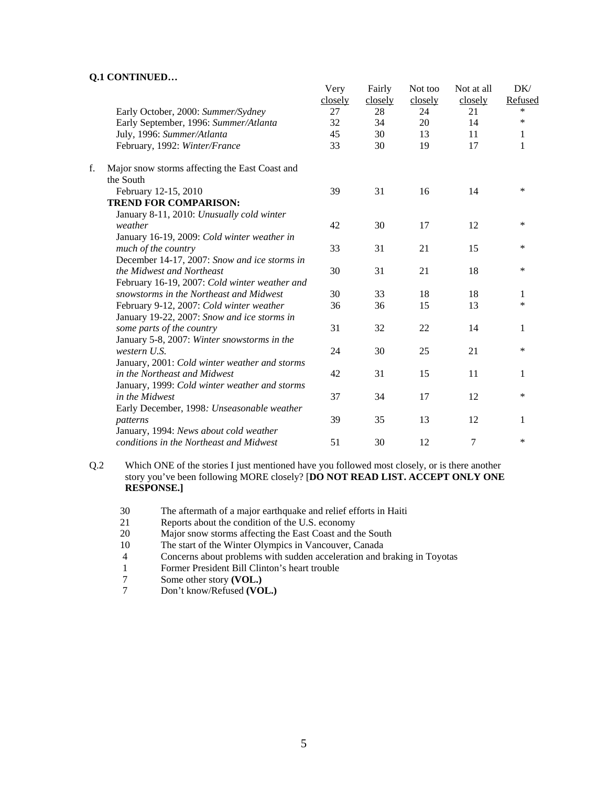|    |                                                | Very<br>closely | Fairly<br>closely | Not too<br>closely | Not at all<br>closely | DK/<br>Refused |
|----|------------------------------------------------|-----------------|-------------------|--------------------|-----------------------|----------------|
|    | Early October, 2000: Summer/Sydney             | 27              | 28                | 24                 | 21                    | $\ast$         |
|    | Early September, 1996: Summer/Atlanta          | 32              | 34                | 20                 | 14                    | $\ast$         |
|    | July, 1996: Summer/Atlanta                     | 45              | 30                | 13                 | 11                    | 1              |
|    | February, 1992: Winter/France                  | 33              | 30                | 19                 | 17                    | 1              |
| f. | Major snow storms affecting the East Coast and |                 |                   |                    |                       |                |
|    | the South                                      |                 |                   |                    |                       |                |
|    | February 12-15, 2010                           | 39              | 31                | 16                 | 14                    | $\ast$         |
|    | <b>TREND FOR COMPARISON:</b>                   |                 |                   |                    |                       |                |
|    | January 8-11, 2010: Unusually cold winter      |                 |                   |                    |                       |                |
|    | weather                                        | 42              | 30                | 17                 | 12                    | $\ast$         |
|    | January 16-19, 2009: Cold winter weather in    |                 |                   |                    |                       |                |
|    | much of the country                            | 33              | 31                | 21                 | 15                    | $\ast$         |
|    | December 14-17, 2007: Snow and ice storms in   |                 |                   |                    |                       |                |
|    | the Midwest and Northeast                      | 30              | 31                | 21                 | 18                    | *              |
|    | February 16-19, 2007: Cold winter weather and  |                 |                   |                    |                       |                |
|    | snowstorms in the Northeast and Midwest        | 30              | 33                | 18                 | 18                    | 1              |
|    | February 9-12, 2007: Cold winter weather       | 36              | 36                | 15                 | 13                    | $\ast$         |
|    | January 19-22, 2007: Snow and ice storms in    |                 |                   |                    |                       |                |
|    | some parts of the country                      | 31              | 32                | 22                 | 14                    | 1              |
|    | January 5-8, 2007: Winter snowstorms in the    |                 |                   |                    |                       |                |
|    | western U.S.                                   | 24              | 30                | 25                 | 21                    | *              |
|    | January, 2001: Cold winter weather and storms  |                 |                   |                    |                       |                |
|    | in the Northeast and Midwest                   | 42              | 31                | 15                 | 11                    | 1              |
|    | January, 1999: Cold winter weather and storms  |                 |                   |                    |                       |                |
|    | in the Midwest                                 | 37              | 34                | 17                 | 12                    | $\ast$         |
|    | Early December, 1998: Unseasonable weather     |                 |                   |                    |                       |                |
|    | patterns                                       | 39              | 35                | 13                 | 12                    | 1              |
|    | January, 1994: News about cold weather         |                 |                   |                    |                       |                |
|    | conditions in the Northeast and Midwest        | 51              | 30                | 12                 | 7                     | $\ast$         |

Q.2 Which ONE of the stories I just mentioned have you followed most closely, or is there another story you've been following MORE closely? [**DO NOT READ LIST. ACCEPT ONLY ONE RESPONSE.]** 

- 30 The aftermath of a major earthquake and relief efforts in Haiti
- 21 Reports about the condition of the U.S. economy
- 20 Major snow storms affecting the East Coast and the South
- 10 The start of the Winter Olympics in Vancouver, Canada<br>4 Concerns about problems with sudden acceleration and b
- Concerns about problems with sudden acceleration and braking in Toyotas
- 1 Former President Bill Clinton's heart trouble<br>
7 Some other story (VOL.)
- 7 Some other story **(VOL.)**<br>7 Don't know/Refused **(VO**
- Don't know/Refused **(VOL.)**